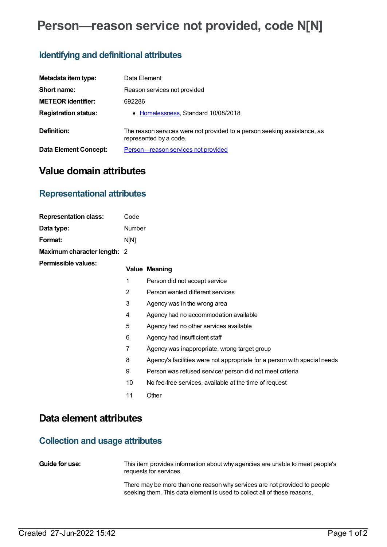# **Person—reason service not provided, code N[N]**

### **Identifying and definitional attributes**

| Metadata item type:          | Data Element                                                                                       |
|------------------------------|----------------------------------------------------------------------------------------------------|
| Short name:                  | Reason services not provided                                                                       |
| <b>METEOR identifier:</b>    | 692286                                                                                             |
| <b>Registration status:</b>  | • Homelessness, Standard 10/08/2018                                                                |
| Definition:                  | The reason services were not provided to a person seeking assistance, as<br>represented by a code. |
| <b>Data Element Concept:</b> | Person-reason services not provided                                                                |

## **Value domain attributes**

#### **Representational attributes**

| Code                        |
|-----------------------------|
| Number                      |
| <b>N[N]</b>                 |
| Maximum character length: 2 |
|                             |

**Permissible values:**

#### **Value Meaning**

- 1 Person did not accept service
- 2 Person wanted different services
- 3 Agency was in the wrong area
- 4 Agency had no accommodation available
- 5 Agency had no other services available
- 6 Agency had insufficient staff
- 7 Agency was inappropriate, wrong target group
- 8 Agency's facilities were not appropriate for a person with special needs
- 9 Person was refused service/ person did not meet criteria
- 10 No fee-free services, available at the time of request
- 11 Other

#### **Data element attributes**

#### **Collection and usage attributes**

**Guide for use:** This item provides information about why agencies are unable to meet people's requests for services.

> There may be more than one reason why services are not provided to people seeking them. This data element is used to collect all of these reasons.